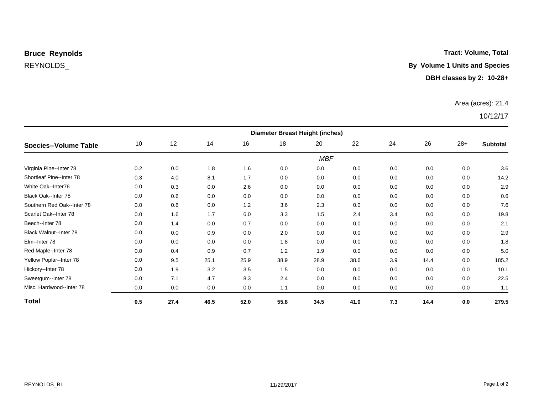#### **Tract: Volume, Total**

## REYNOLDS\_ **By Volume 1 Units and Species**

#### **DBH classes by 2: 10-28+**

#### Area (acres): 21.4

| <b>Species--Volume Table</b>  | <b>Diameter Breast Height (inches)</b> |      |      |      |      |            |      |     |      |       |                 |
|-------------------------------|----------------------------------------|------|------|------|------|------------|------|-----|------|-------|-----------------|
|                               | 10                                     | 12   | 14   | 16   | 18   | 20         | 22   | 24  | 26   | $28+$ | <b>Subtotal</b> |
|                               |                                        |      |      |      |      | <b>MBF</b> |      |     |      |       |                 |
| Virginia Pine--Inter 78       | 0.2                                    | 0.0  | 1.8  | 1.6  | 0.0  | 0.0        | 0.0  | 0.0 | 0.0  | 0.0   | 3.6             |
| Shortleaf Pine--Inter 78      | 0.3                                    | 4.0  | 8.1  | 1.7  | 0.0  | 0.0        | 0.0  | 0.0 | 0.0  | 0.0   | 14.2            |
| White Oak--Inter76            | 0.0                                    | 0.3  | 0.0  | 2.6  | 0.0  | 0.0        | 0.0  | 0.0 | 0.0  | 0.0   | 2.9             |
| Black Oak--Inter 78           | 0.0                                    | 0.6  | 0.0  | 0.0  | 0.0  | 0.0        | 0.0  | 0.0 | 0.0  | 0.0   | 0.6             |
| Southern Red Oak--Inter 78    | 0.0                                    | 0.6  | 0.0  | 1.2  | 3.6  | 2.3        | 0.0  | 0.0 | 0.0  | 0.0   | 7.6             |
| Scarlet Oak--Inter 78         | 0.0                                    | 1.6  | 1.7  | 6.0  | 3.3  | 1.5        | 2.4  | 3.4 | 0.0  | 0.0   | 19.8            |
| Beech--Inter 78               | 0.0                                    | 1.4  | 0.0  | 0.7  | 0.0  | 0.0        | 0.0  | 0.0 | 0.0  | 0.0   | 2.1             |
| <b>Black Walnut--Inter 78</b> | 0.0                                    | 0.0  | 0.9  | 0.0  | 2.0  | 0.0        | 0.0  | 0.0 | 0.0  | 0.0   | 2.9             |
| Elm--Inter 78                 | 0.0                                    | 0.0  | 0.0  | 0.0  | 1.8  | 0.0        | 0.0  | 0.0 | 0.0  | 0.0   | 1.8             |
| Red Maple--Inter 78           | 0.0                                    | 0.4  | 0.9  | 0.7  | 1.2  | 1.9        | 0.0  | 0.0 | 0.0  | 0.0   | 5.0             |
| Yellow Poplar--Inter 78       | 0.0                                    | 9.5  | 25.1 | 25.9 | 38.9 | 28.9       | 38.6 | 3.9 | 14.4 | 0.0   | 185.2           |
| Hickory--Inter 78             | 0.0                                    | 1.9  | 3.2  | 3.5  | 1.5  | 0.0        | 0.0  | 0.0 | 0.0  | 0.0   | 10.1            |
| Sweetgum--Inter 78            | 0.0                                    | 7.1  | 4.7  | 8.3  | 2.4  | 0.0        | 0.0  | 0.0 | 0.0  | 0.0   | 22.5            |
| Misc. Hardwood--Inter 78      | 0.0                                    | 0.0  | 0.0  | 0.0  | 1.1  | 0.0        | 0.0  | 0.0 | 0.0  | 0.0   | 1.1             |
| <b>Total</b>                  | 0.5                                    | 27.4 | 46.5 | 52.0 | 55.8 | 34.5       | 41.0 | 7.3 | 14.4 | 0.0   | 279.5           |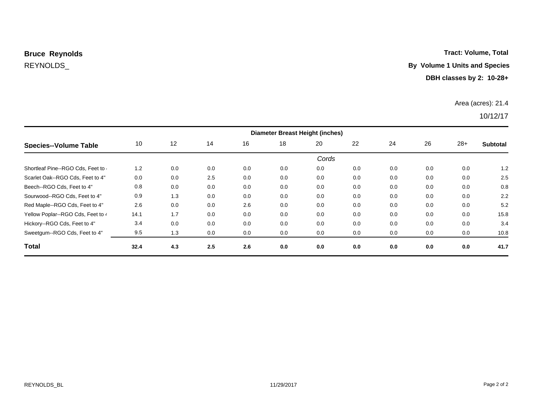### **Tract: Volume, Total**

## REYNOLDS\_ **By Volume 1 Units and Species**

#### **DBH classes by 2: 10-28+**

#### Area (acres): 21.4

| Species--Volume Table              | <b>Diameter Breast Height (inches)</b> |     |     |     |     |       |     |     |     |       |                 |
|------------------------------------|----------------------------------------|-----|-----|-----|-----|-------|-----|-----|-----|-------|-----------------|
|                                    | 10                                     | 12  | 14  | 16  | 18  | 20    | 22  | 24  | 26  | $28+$ | <b>Subtotal</b> |
|                                    |                                        |     |     |     |     | Cords |     |     |     |       |                 |
| Shortleaf Pine--RGO Cds, Feet to . | 1.2                                    | 0.0 | 0.0 | 0.0 | 0.0 | 0.0   | 0.0 | 0.0 | 0.0 | 0.0   | 1.2             |
| Scarlet Oak--RGO Cds, Feet to 4"   | 0.0                                    | 0.0 | 2.5 | 0.0 | 0.0 | 0.0   | 0.0 | 0.0 | 0.0 | 0.0   | 2.5             |
| Beech--RGO Cds, Feet to 4"         | 0.8                                    | 0.0 | 0.0 | 0.0 | 0.0 | 0.0   | 0.0 | 0.0 | 0.0 | 0.0   | 0.8             |
| Sourwood--RGO Cds. Feet to 4"      | 0.9                                    | 1.3 | 0.0 | 0.0 | 0.0 | 0.0   | 0.0 | 0.0 | 0.0 | 0.0   | 2.2             |
| Red Maple--RGO Cds, Feet to 4"     | 2.6                                    | 0.0 | 0.0 | 2.6 | 0.0 | 0.0   | 0.0 | 0.0 | 0.0 | 0.0   | 5.2             |
| Yellow Poplar--RGO Cds, Feet to 4  | 14.1                                   | 1.7 | 0.0 | 0.0 | 0.0 | 0.0   | 0.0 | 0.0 | 0.0 | 0.0   | 15.8            |
| Hickory--RGO Cds, Feet to 4"       | 3.4                                    | 0.0 | 0.0 | 0.0 | 0.0 | 0.0   | 0.0 | 0.0 | 0.0 | 0.0   | 3.4             |
| Sweetgum--RGO Cds, Feet to 4"      | 9.5                                    | 1.3 | 0.0 | 0.0 | 0.0 | 0.0   | 0.0 | 0.0 | 0.0 | 0.0   | 10.8            |
| <b>Total</b>                       | 32.4                                   | 4.3 | 2.5 | 2.6 | 0.0 | 0.0   | 0.0 | 0.0 | 0.0 | 0.0   | 41.7            |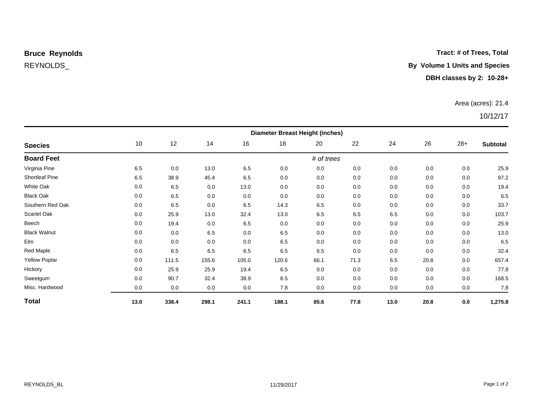#### **Tract: # of Trees, Total**

## REYNOLDS\_ **By Volume 1 Units and Species**

#### **DBH classes by 2: 10-28+**

#### Area (acres): 21.4

| <b>Species</b>       | <b>Diameter Breast Height (inches)</b> |       |       |       |       |            |      |      |      |       |          |
|----------------------|----------------------------------------|-------|-------|-------|-------|------------|------|------|------|-------|----------|
|                      | 10                                     | 12    | 14    | 16    | 18    | 20         | 22   | 24   | 26   | $28+$ | Subtotal |
| <b>Board Feet</b>    |                                        |       |       |       |       | # of trees |      |      |      |       |          |
| Virginia Pine        | 6.5                                    | 0.0   | 13.0  | 6.5   | 0.0   | 0.0        | 0.0  | 0.0  | 0.0  | 0.0   | 25.9     |
| Shortleaf Pine       | 6.5                                    | 38.9  | 45.4  | 6.5   | 0.0   | 0.0        | 0.0  | 0.0  | 0.0  | 0.0   | 97.2     |
| White Oak            | 0.0                                    | 6.5   | 0.0   | 13.0  | 0.0   | 0.0        | 0.0  | 0.0  | 0.0  | 0.0   | 19.4     |
| <b>Black Oak</b>     | 0.0                                    | 6.5   | 0.0   | 0.0   | 0.0   | 0.0        | 0.0  | 0.0  | 0.0  | 0.0   | 6.5      |
| Southern Red Oak     | 0.0                                    | 6.5   | 0.0   | 6.5   | 14.3  | 6.5        | 0.0  | 0.0  | 0.0  | 0.0   | 33.7     |
| Scarlet Oak          | 0.0                                    | 25.9  | 13.0  | 32.4  | 13.0  | 6.5        | 6.5  | 6.5  | 0.0  | 0.0   | 103.7    |
| Beech                | 0.0                                    | 19.4  | 0.0   | 6.5   | 0.0   | 0.0        | 0.0  | 0.0  | 0.0  | 0.0   | 25.9     |
| <b>Black Walnut</b>  | 0.0                                    | 0.0   | 6.5   | 0.0   | 6.5   | 0.0        | 0.0  | 0.0  | 0.0  | 0.0   | 13.0     |
| Elm                  | 0.0                                    | 0.0   | 0.0   | 0.0   | 6.5   | 0.0        | 0.0  | 0.0  | 0.0  | 0.0   | 6.5      |
| Red Maple            | 0.0                                    | 6.5   | 6.5   | 6.5   | 6.5   | 6.5        | 0.0  | 0.0  | 0.0  | 0.0   | 32.4     |
| <b>Yellow Poplar</b> | 0.0                                    | 111.5 | 155.6 | 105.0 | 120.6 | 66.1       | 71.3 | 6.5  | 20.8 | 0.0   | 657.4    |
| Hickory              | 0.0                                    | 25.9  | 25.9  | 19.4  | 6.5   | 0.0        | 0.0  | 0.0  | 0.0  | 0.0   | 77.8     |
| Sweetgum             | 0.0                                    | 90.7  | 32.4  | 38.9  | 6.5   | 0.0        | 0.0  | 0.0  | 0.0  | 0.0   | 168.5    |
| Misc. Hardwood       | 0.0                                    | 0.0   | 0.0   | 0.0   | 7.8   | 0.0        | 0.0  | 0.0  | 0.0  | 0.0   | 7.8      |
| <b>Total</b>         | 13.0                                   | 338.4 | 298.1 | 241.1 | 188.1 | 85.6       | 77.8 | 13.0 | 20.8 | 0.0   | 1,275.8  |